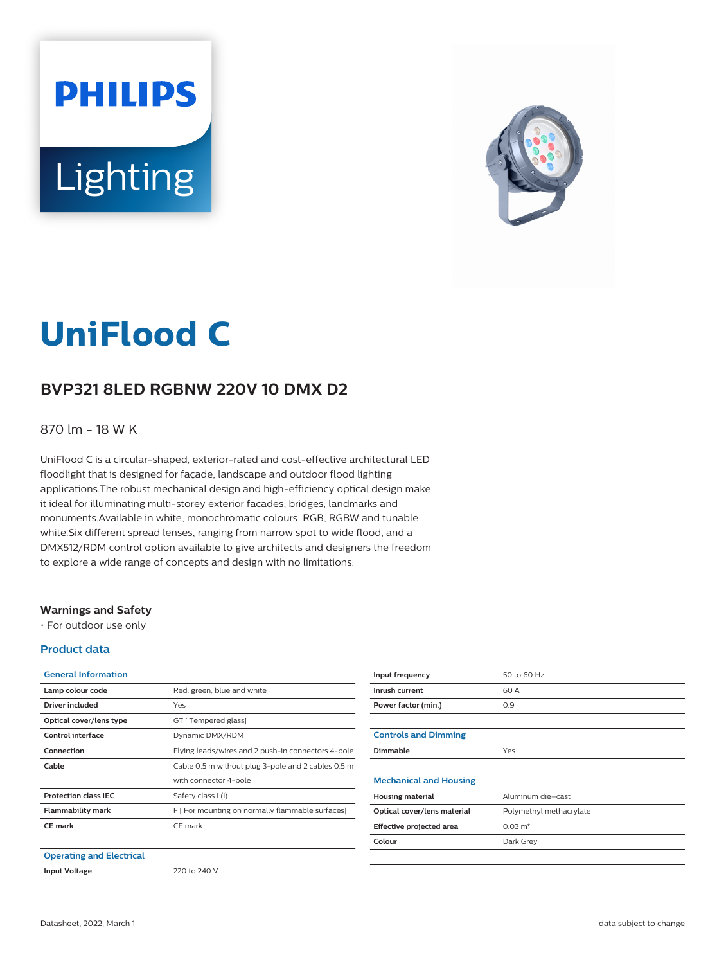# **PHILIPS** Lighting



# **UniFlood C**

## **BVP321 8LED RGBNW 220V 10 DMX D2**

#### 870 lm - 18 W K

UniFlood C is a circular-shaped, exterior-rated and cost-effective architectural LED floodlight that is designed for façade, landscape and outdoor flood lighting applications.The robust mechanical design and high-efficiency optical design make it ideal for illuminating multi-storey exterior facades, bridges, landmarks and monuments.Available in white, monochromatic colours, RGB, RGBW and tunable white.Six different spread lenses, ranging from narrow spot to wide flood, and a DMX512/RDM control option available to give architects and designers the freedom to explore a wide range of concepts and design with no limitations.

#### **Warnings and Safety**

• For outdoor use only

#### **Product data**

| <b>General Information</b>      |                                                    |
|---------------------------------|----------------------------------------------------|
| Lamp colour code                | Red, green, blue and white                         |
| Driver included                 | Yes                                                |
| Optical cover/lens type         | GT [ Tempered glass]                               |
| Control interface               | Dynamic DMX/RDM                                    |
| Connection                      | Flying leads/wires and 2 push-in connectors 4-pole |
| Cable                           | Cable 0.5 m without plug 3-pole and 2 cables 0.5 m |
|                                 | with connector 4-pole                              |
| <b>Protection class IEC</b>     | Safety class I (I)                                 |
| Flammability mark               | F [ For mounting on normally flammable surfaces]   |
| <b>CE</b> mark                  | CF mark                                            |
|                                 |                                                    |
| <b>Operating and Electrical</b> |                                                    |
| <b>Input Voltage</b>            | 220 to 240 V                                       |

| Input frequency               | 50 to 60 Hz             |
|-------------------------------|-------------------------|
| Inrush current                | 60 A                    |
| Power factor (min.)           | 0.9                     |
|                               |                         |
| <b>Controls and Dimming</b>   |                         |
| Dimmable                      | Yes                     |
|                               |                         |
| <b>Mechanical and Housing</b> |                         |
| <b>Housing material</b>       | Aluminum die-cast       |
| Optical cover/lens material   | Polymethyl methacrylate |
| Effective projected area      | $0.03 \text{ m}^2$      |
| Colour                        | Dark Grey               |
|                               |                         |